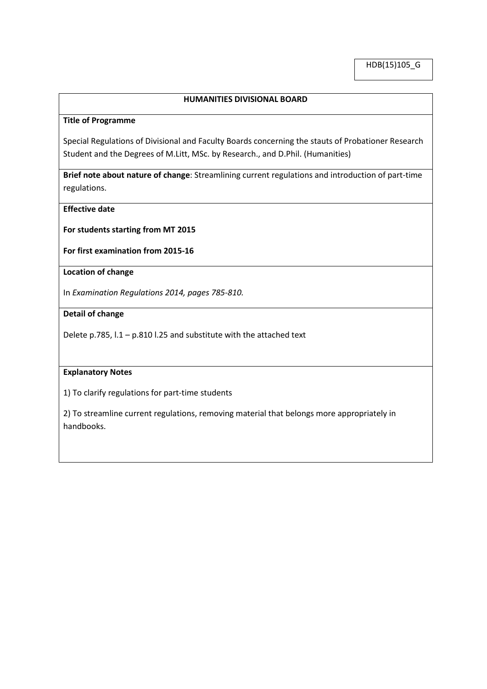HDB(15)105\_G

#### **HUMANITIES DIVISIONAL BOARD**

#### **Title of Programme**

Special Regulations of Divisional and Faculty Boards concerning the stauts of Probationer Research Student and the Degrees of M.Litt, MSc. by Research., and D.Phil. (Humanities)

**Brief note about nature of change**: Streamlining current regulations and introduction of part-time regulations.

#### **Effective date**

**For students starting from MT 2015**

**For first examination from 2015-16**

#### **Location of change**

In *Examination Regulations 2014, pages 785-810.*

**Detail of change**

Delete p.785, l.1 – p.810 l.25 and substitute with the attached text

#### **Explanatory Notes**

1) To clarify regulations for part-time students

2) To streamline current regulations, removing material that belongs more appropriately in handbooks.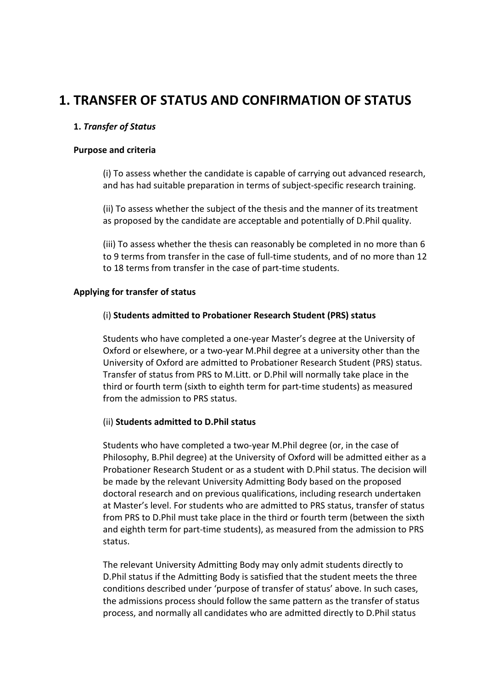# **1. TRANSFER OF STATUS AND CONFIRMATION OF STATUS**

#### **1.** *Transfer of Status*

#### **Purpose and criteria**

(i) To assess whether the candidate is capable of carrying out advanced research, and has had suitable preparation in terms of subject-specific research training.

(ii) To assess whether the subject of the thesis and the manner of its treatment as proposed by the candidate are acceptable and potentially of D.Phil quality.

(iii) To assess whether the thesis can reasonably be completed in no more than 6 to 9 terms from transfer in the case of full-time students, and of no more than 12 to 18 terms from transfer in the case of part-time students.

#### **Applying for transfer of status**

#### (i) **Students admitted to Probationer Research Student (PRS) status**

Students who have completed a one-year Master's degree at the University of Oxford or elsewhere, or a two-year M.Phil degree at a university other than the University of Oxford are admitted to Probationer Research Student (PRS) status. Transfer of status from PRS to M.Litt. or D.Phil will normally take place in the third or fourth term (sixth to eighth term for part-time students) as measured from the admission to PRS status.

#### (ii) **Students admitted to D.Phil status**

Students who have completed a two-year M.Phil degree (or, in the case of Philosophy, B.Phil degree) at the University of Oxford will be admitted either as a Probationer Research Student or as a student with D.Phil status. The decision will be made by the relevant University Admitting Body based on the proposed doctoral research and on previous qualifications, including research undertaken at Master's level. For students who are admitted to PRS status, transfer of status from PRS to D.Phil must take place in the third or fourth term (between the sixth and eighth term for part-time students), as measured from the admission to PRS status.

The relevant University Admitting Body may only admit students directly to D.Phil status if the Admitting Body is satisfied that the student meets the three conditions described under 'purpose of transfer of status' above. In such cases, the admissions process should follow the same pattern as the transfer of status process, and normally all candidates who are admitted directly to D.Phil status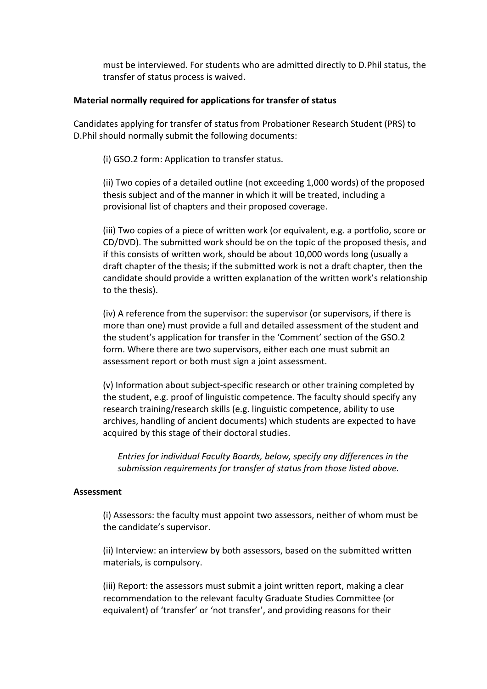must be interviewed. For students who are admitted directly to D.Phil status, the transfer of status process is waived.

#### **Material normally required for applications for transfer of status**

Candidates applying for transfer of status from Probationer Research Student (PRS) to D.Phil should normally submit the following documents:

(i) GSO.2 form: Application to transfer status.

(ii) Two copies of a detailed outline (not exceeding 1,000 words) of the proposed thesis subject and of the manner in which it will be treated, including a provisional list of chapters and their proposed coverage.

(iii) Two copies of a piece of written work (or equivalent, e.g. a portfolio, score or CD/DVD). The submitted work should be on the topic of the proposed thesis, and if this consists of written work, should be about 10,000 words long (usually a draft chapter of the thesis; if the submitted work is not a draft chapter, then the candidate should provide a written explanation of the written work's relationship to the thesis).

(iv) A reference from the supervisor: the supervisor (or supervisors, if there is more than one) must provide a full and detailed assessment of the student and the student's application for transfer in the 'Comment' section of the GSO.2 form. Where there are two supervisors, either each one must submit an assessment report or both must sign a joint assessment.

(v) Information about subject-specific research or other training completed by the student, e.g. proof of linguistic competence. The faculty should specify any research training/research skills (e.g. linguistic competence, ability to use archives, handling of ancient documents) which students are expected to have acquired by this stage of their doctoral studies.

*Entries for individual Faculty Boards, below, specify any differences in the submission requirements for transfer of status from those listed above.*

#### **Assessment**

(i) Assessors: the faculty must appoint two assessors, neither of whom must be the candidate's supervisor.

(ii) Interview: an interview by both assessors, based on the submitted written materials, is compulsory.

(iii) Report: the assessors must submit a joint written report, making a clear recommendation to the relevant faculty Graduate Studies Committee (or equivalent) of 'transfer' or 'not transfer', and providing reasons for their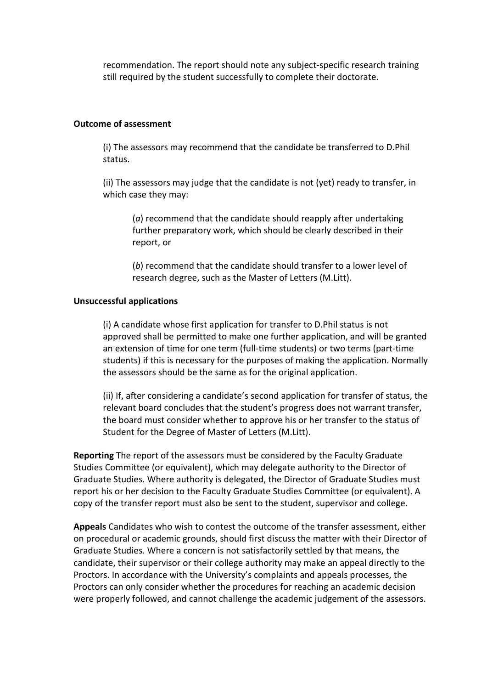recommendation. The report should note any subject-specific research training still required by the student successfully to complete their doctorate.

#### **Outcome of assessment**

(i) The assessors may recommend that the candidate be transferred to D.Phil status.

(ii) The assessors may judge that the candidate is not (yet) ready to transfer, in which case they may:

(*a*) recommend that the candidate should reapply after undertaking further preparatory work, which should be clearly described in their report, or

(*b*) recommend that the candidate should transfer to a lower level of research degree, such as the Master of Letters (M.Litt).

#### **Unsuccessful applications**

(i) A candidate whose first application for transfer to D.Phil status is not approved shall be permitted to make one further application, and will be granted an extension of time for one term (full-time students) or two terms (part-time students) if this is necessary for the purposes of making the application. Normally the assessors should be the same as for the original application.

(ii) If, after considering a candidate's second application for transfer of status, the relevant board concludes that the student's progress does not warrant transfer, the board must consider whether to approve his or her transfer to the status of Student for the Degree of Master of Letters (M.Litt).

**Reporting** The report of the assessors must be considered by the Faculty Graduate Studies Committee (or equivalent), which may delegate authority to the Director of Graduate Studies. Where authority is delegated, the Director of Graduate Studies must report his or her decision to the Faculty Graduate Studies Committee (or equivalent). A copy of the transfer report must also be sent to the student, supervisor and college.

**Appeals** Candidates who wish to contest the outcome of the transfer assessment, either on procedural or academic grounds, should first discuss the matter with their Director of Graduate Studies. Where a concern is not satisfactorily settled by that means, the candidate, their supervisor or their college authority may make an appeal directly to the Proctors. In accordance with the University's complaints and appeals processes, the Proctors can only consider whether the procedures for reaching an academic decision were properly followed, and cannot challenge the academic judgement of the assessors.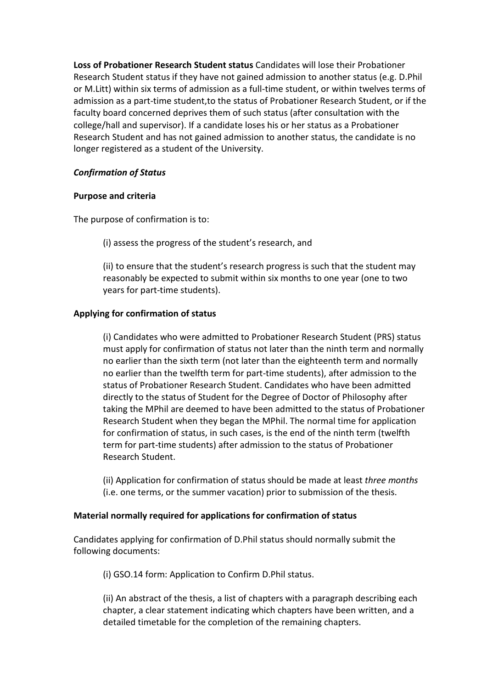**Loss of Probationer Research Student status** Candidates will lose their Probationer Research Student status if they have not gained admission to another status (e.g. D.Phil or M.Litt) within six terms of admission as a full-time student, or within twelves terms of admission as a part-time student,to the status of Probationer Research Student, or if the faculty board concerned deprives them of such status (after consultation with the college/hall and supervisor). If a candidate loses his or her status as a Probationer Research Student and has not gained admission to another status, the candidate is no longer registered as a student of the University.

## *Confirmation of Status*

## **Purpose and criteria**

The purpose of confirmation is to:

(i) assess the progress of the student's research, and

(ii) to ensure that the student's research progress is such that the student may reasonably be expected to submit within six months to one year (one to two years for part-time students).

## **Applying for confirmation of status**

(i) Candidates who were admitted to Probationer Research Student (PRS) status must apply for confirmation of status not later than the ninth term and normally no earlier than the sixth term (not later than the eighteenth term and normally no earlier than the twelfth term for part-time students), after admission to the status of Probationer Research Student. Candidates who have been admitted directly to the status of Student for the Degree of Doctor of Philosophy after taking the MPhil are deemed to have been admitted to the status of Probationer Research Student when they began the MPhil. The normal time for application for confirmation of status, in such cases, is the end of the ninth term (twelfth term for part-time students) after admission to the status of Probationer Research Student.

(ii) Application for confirmation of status should be made at least *three months* (i.e. one terms, or the summer vacation) prior to submission of the thesis.

## **Material normally required for applications for confirmation of status**

Candidates applying for confirmation of D.Phil status should normally submit the following documents:

(i) GSO.14 form: Application to Confirm D.Phil status.

(ii) An abstract of the thesis, a list of chapters with a paragraph describing each chapter, a clear statement indicating which chapters have been written, and a detailed timetable for the completion of the remaining chapters.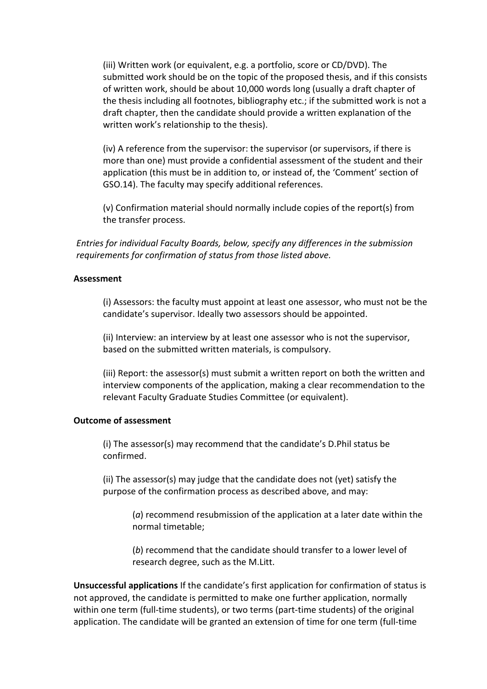(iii) Written work (or equivalent, e.g. a portfolio, score or CD/DVD). The submitted work should be on the topic of the proposed thesis, and if this consists of written work, should be about 10,000 words long (usually a draft chapter of the thesis including all footnotes, bibliography etc.; if the submitted work is not a draft chapter, then the candidate should provide a written explanation of the written work's relationship to the thesis).

(iv) A reference from the supervisor: the supervisor (or supervisors, if there is more than one) must provide a confidential assessment of the student and their application (this must be in addition to, or instead of, the 'Comment' section of GSO.14). The faculty may specify additional references.

(v) Confirmation material should normally include copies of the report(s) from the transfer process.

*Entries for individual Faculty Boards, below, specify any differences in the submission requirements for confirmation of status from those listed above.*

#### **Assessment**

(i) Assessors: the faculty must appoint at least one assessor, who must not be the candidate's supervisor. Ideally two assessors should be appointed.

(ii) Interview: an interview by at least one assessor who is not the supervisor, based on the submitted written materials, is compulsory.

(iii) Report: the assessor(s) must submit a written report on both the written and interview components of the application, making a clear recommendation to the relevant Faculty Graduate Studies Committee (or equivalent).

#### **Outcome of assessment**

(i) The assessor(s) may recommend that the candidate's D.Phil status be confirmed.

(ii) The assessor(s) may judge that the candidate does not (yet) satisfy the purpose of the confirmation process as described above, and may:

> (*a*) recommend resubmission of the application at a later date within the normal timetable;

(*b*) recommend that the candidate should transfer to a lower level of research degree, such as the M.Litt.

**Unsuccessful applications** If the candidate's first application for confirmation of status is not approved, the candidate is permitted to make one further application, normally within one term (full-time students), or two terms (part-time students) of the original application. The candidate will be granted an extension of time for one term (full-time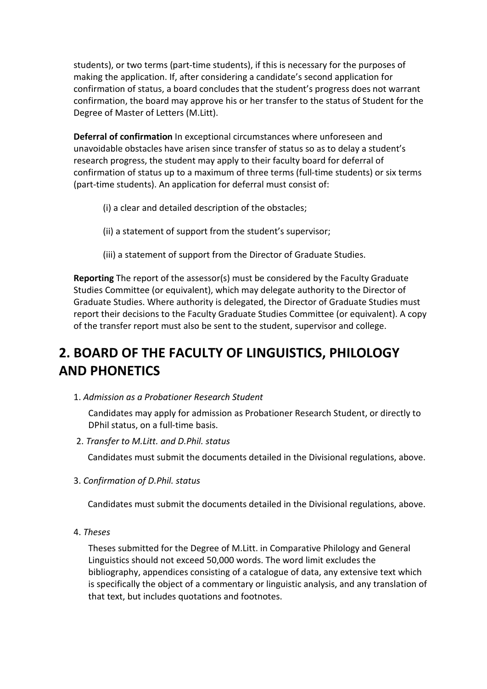students), or two terms (part-time students), if this is necessary for the purposes of making the application. If, after considering a candidate's second application for confirmation of status, a board concludes that the student's progress does not warrant confirmation, the board may approve his or her transfer to the status of Student for the Degree of Master of Letters (M.Litt).

**Deferral of confirmation** In exceptional circumstances where unforeseen and unavoidable obstacles have arisen since transfer of status so as to delay a student's research progress, the student may apply to their faculty board for deferral of confirmation of status up to a maximum of three terms (full-time students) or six terms (part-time students). An application for deferral must consist of:

- (i) a clear and detailed description of the obstacles;
- (ii) a statement of support from the student's supervisor;
- (iii) a statement of support from the Director of Graduate Studies.

**Reporting** The report of the assessor(s) must be considered by the Faculty Graduate Studies Committee (or equivalent), which may delegate authority to the Director of Graduate Studies. Where authority is delegated, the Director of Graduate Studies must report their decisions to the Faculty Graduate Studies Committee (or equivalent). A copy of the transfer report must also be sent to the student, supervisor and college.

# **2. BOARD OF THE FACULTY OF LINGUISTICS, PHILOLOGY AND PHONETICS**

1. *Admission as a Probationer Research Student*

Candidates may apply for admission as Probationer Research Student, or directly to DPhil status, on a full-time basis.

2. *Transfer to M.Litt. and D.Phil. status*

Candidates must submit the documents detailed in the Divisional regulations, above.

3. *Confirmation of D.Phil. status*

Candidates must submit the documents detailed in the Divisional regulations, above.

4. *Theses*

Theses submitted for the Degree of M.Litt. in Comparative Philology and General Linguistics should not exceed 50,000 words. The word limit excludes the bibliography, appendices consisting of a catalogue of data, any extensive text which is specifically the object of a commentary or linguistic analysis, and any translation of that text, but includes quotations and footnotes.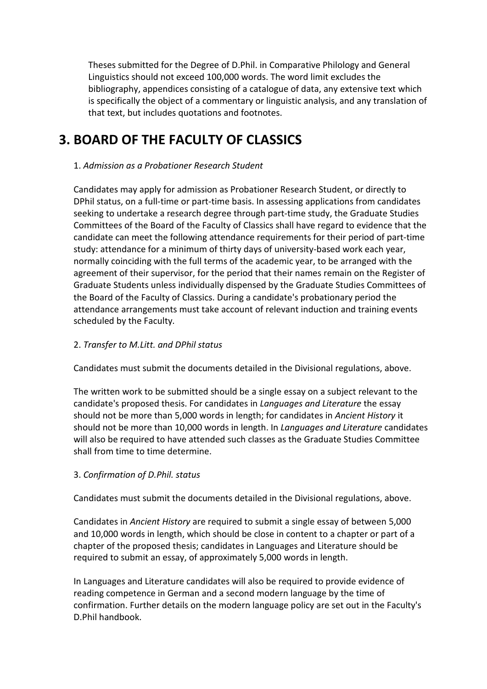Theses submitted for the Degree of D.Phil. in Comparative Philology and General Linguistics should not exceed 100,000 words. The word limit excludes the bibliography, appendices consisting of a catalogue of data, any extensive text which is specifically the object of a commentary or linguistic analysis, and any translation of that text, but includes quotations and footnotes.

# **3. BOARD OF THE FACULTY OF CLASSICS**

## 1. *Admission as a Probationer Research Student*

Candidates may apply for admission as Probationer Research Student, or directly to DPhil status, on a full-time or part-time basis. In assessing applications from candidates seeking to undertake a research degree through part-time study, the Graduate Studies Committees of the Board of the Faculty of Classics shall have regard to evidence that the candidate can meet the following attendance requirements for their period of part-time study: attendance for a minimum of thirty days of university-based work each year, normally coinciding with the full terms of the academic year, to be arranged with the agreement of their supervisor, for the period that their names remain on the Register of Graduate Students unless individually dispensed by the Graduate Studies Committees of the Board of the Faculty of Classics. During a candidate's probationary period the attendance arrangements must take account of relevant induction and training events scheduled by the Faculty.

## 2. *Transfer to M.Litt. and DPhil status*

Candidates must submit the documents detailed in the Divisional regulations, above.

The written work to be submitted should be a single essay on a subject relevant to the candidate's proposed thesis. For candidates in *Languages and Literature* the essay should not be more than 5,000 words in length; for candidates in *Ancient History* it should not be more than 10,000 words in length. In *Languages and Literature* candidates will also be required to have attended such classes as the Graduate Studies Committee shall from time to time determine.

## 3. *Confirmation of D.Phil. status*

Candidates must submit the documents detailed in the Divisional regulations, above.

Candidates in *Ancient History* are required to submit a single essay of between 5,000 and 10,000 words in length, which should be close in content to a chapter or part of a chapter of the proposed thesis; candidates in Languages and Literature should be required to submit an essay, of approximately 5,000 words in length.

In Languages and Literature candidates will also be required to provide evidence of reading competence in German and a second modern language by the time of confirmation. Further details on the modern language policy are set out in the Faculty's D.Phil handbook.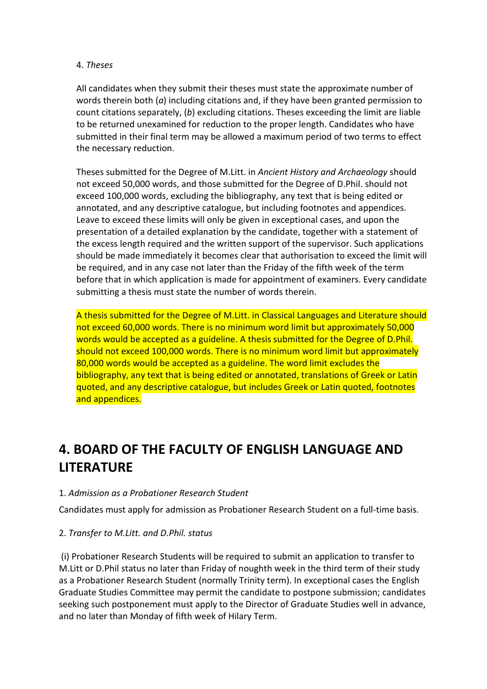#### 4. *Theses*

All candidates when they submit their theses must state the approximate number of words therein both (*a*) including citations and, if they have been granted permission to count citations separately, (*b*) excluding citations. Theses exceeding the limit are liable to be returned unexamined for reduction to the proper length. Candidates who have submitted in their final term may be allowed a maximum period of two terms to effect the necessary reduction.

Theses submitted for the Degree of M.Litt. in *Ancient History and Archaeology* should not exceed 50,000 words, and those submitted for the Degree of D.Phil. should not exceed 100,000 words, excluding the bibliography, any text that is being edited or annotated, and any descriptive catalogue, but including footnotes and appendices. Leave to exceed these limits will only be given in exceptional cases, and upon the presentation of a detailed explanation by the candidate, together with a statement of the excess length required and the written support of the supervisor. Such applications should be made immediately it becomes clear that authorisation to exceed the limit will be required, and in any case not later than the Friday of the fifth week of the term before that in which application is made for appointment of examiners. Every candidate submitting a thesis must state the number of words therein.

A thesis submitted for the Degree of M.Litt. in Classical Languages and Literature should not exceed 60,000 words. There is no minimum word limit but approximately 50,000 words would be accepted as a guideline. A thesis submitted for the Degree of D.Phil. should not exceed 100,000 words. There is no minimum word limit but approximately 80,000 words would be accepted as a guideline. The word limit excludes the bibliography, any text that is being edited or annotated, translations of Greek or Latin quoted, and any descriptive catalogue, but includes Greek or Latin quoted, footnotes and appendices.

# **4. BOARD OF THE FACULTY OF ENGLISH LANGUAGE AND LITERATURE**

#### 1. *Admission as a Probationer Research Student*

Candidates must apply for admission as Probationer Research Student on a full-time basis.

## 2. *Transfer to M.Litt. and D.Phil. status*

(i) Probationer Research Students will be required to submit an application to transfer to M.Litt or D.Phil status no later than Friday of noughth week in the third term of their study as a Probationer Research Student (normally Trinity term). In exceptional cases the English Graduate Studies Committee may permit the candidate to postpone submission; candidates seeking such postponement must apply to the Director of Graduate Studies well in advance, and no later than Monday of fifth week of Hilary Term.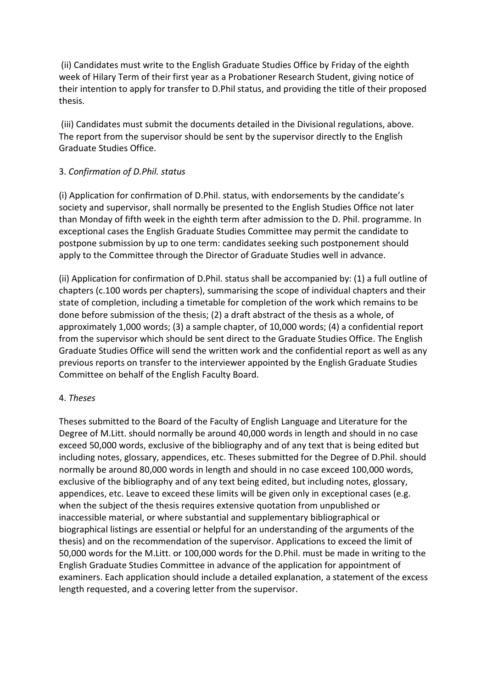(ii) Candidates must write to the English Graduate Studies Office by Friday of the eighth week of Hilary Term of their first year as a Probationer Research Student, giving notice of their intention to apply for transfer to D.Phil status, and providing the title of their proposed thesis.

(iii) Candidates must submit the documents detailed in the Divisional regulations, above. The report from the supervisor should be sent by the supervisor directly to the English Graduate Studies Office.

## 3. *Confirmation of D.Phil. status*

(i) Application for confirmation of D.Phil. status, with endorsements by the candidate's society and supervisor, shall normally be presented to the English Studies Office not later than Monday of fifth week in the eighth term after admission to the D. Phil. programme. In exceptional cases the English Graduate Studies Committee may permit the candidate to postpone submission by up to one term: candidates seeking such postponement should apply to the Committee through the Director of Graduate Studies well in advance.

(ii) Application for confirmation of D.Phil. status shall be accompanied by: (1) a full outline of chapters (c.100 words per chapters), summarising the scope of individual chapters and their state of completion, including a timetable for completion of the work which remains to be done before submission of the thesis; (2) a draft abstract of the thesis as a whole, of approximately 1,000 words; (3) a sample chapter, of 10,000 words; (4) a confidential report from the supervisor which should be sent direct to the Graduate Studies Office. The English Graduate Studies Office will send the written work and the confidential report as well as any previous reports on transfer to the interviewer appointed by the English Graduate Studies Committee on behalf of the English Faculty Board.

## 4. *Theses*

Theses submitted to the Board of the Faculty of English Language and Literature for the Degree of M.Litt. should normally be around 40,000 words in length and should in no case exceed 50,000 words, exclusive of the bibliography and of any text that is being edited but including notes, glossary, appendices, etc. Theses submitted for the Degree of D.Phil. should normally be around 80,000 words in length and should in no case exceed 100,000 words, exclusive of the bibliography and of any text being edited, but including notes, glossary, appendices, etc. Leave to exceed these limits will be given only in exceptional cases (e.g. when the subject of the thesis requires extensive quotation from unpublished or inaccessible material, or where substantial and supplementary bibliographical or biographical listings are essential or helpful for an understanding of the arguments of the thesis) and on the recommendation of the supervisor. Applications to exceed the limit of 50,000 words for the M.Litt. or 100,000 words for the D.Phil. must be made in writing to the English Graduate Studies Committee in advance of the application for appointment of examiners. Each application should include a detailed explanation, a statement of the excess length requested, and a covering letter from the supervisor.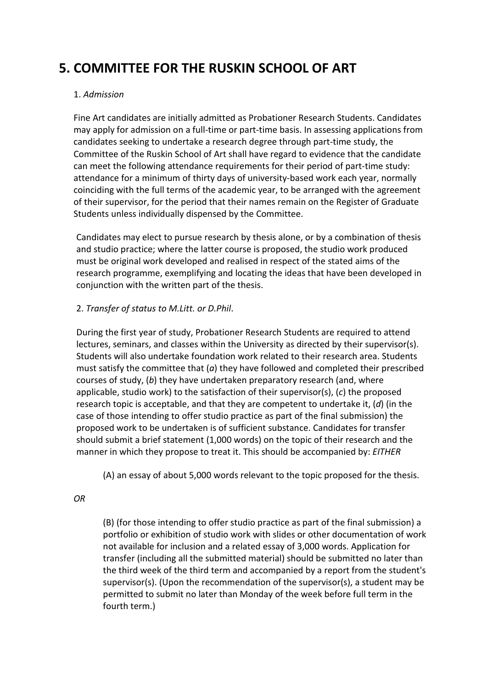# **5. COMMITTEE FOR THE RUSKIN SCHOOL OF ART**

#### 1. *Admission*

Fine Art candidates are initially admitted as Probationer Research Students. Candidates may apply for admission on a full-time or part-time basis. In assessing applications from candidates seeking to undertake a research degree through part-time study, the Committee of the Ruskin School of Art shall have regard to evidence that the candidate can meet the following attendance requirements for their period of part-time study: attendance for a minimum of thirty days of university-based work each year, normally coinciding with the full terms of the academic year, to be arranged with the agreement of their supervisor, for the period that their names remain on the Register of Graduate Students unless individually dispensed by the Committee.

Candidates may elect to pursue research by thesis alone, or by a combination of thesis and studio practice; where the latter course is proposed, the studio work produced must be original work developed and realised in respect of the stated aims of the research programme, exemplifying and locating the ideas that have been developed in conjunction with the written part of the thesis.

## 2. *Transfer of status to M.Litt. or D.Phil*.

During the first year of study, Probationer Research Students are required to attend lectures, seminars, and classes within the University as directed by their supervisor(s). Students will also undertake foundation work related to their research area. Students must satisfy the committee that (*a*) they have followed and completed their prescribed courses of study, (*b*) they have undertaken preparatory research (and, where applicable, studio work) to the satisfaction of their supervisor(s), (*c*) the proposed research topic is acceptable, and that they are competent to undertake it, (*d*) (in the case of those intending to offer studio practice as part of the final submission) the proposed work to be undertaken is of sufficient substance. Candidates for transfer should submit a brief statement (1,000 words) on the topic of their research and the manner in which they propose to treat it. This should be accompanied by: *EITHER*

(A) an essay of about 5,000 words relevant to the topic proposed for the thesis.

*OR*

(B) (for those intending to offer studio practice as part of the final submission) a portfolio or exhibition of studio work with slides or other documentation of work not available for inclusion and a related essay of 3,000 words. Application for transfer (including all the submitted material) should be submitted no later than the third week of the third term and accompanied by a report from the student's supervisor(s). (Upon the recommendation of the supervisor(s), a student may be permitted to submit no later than Monday of the week before full term in the fourth term.)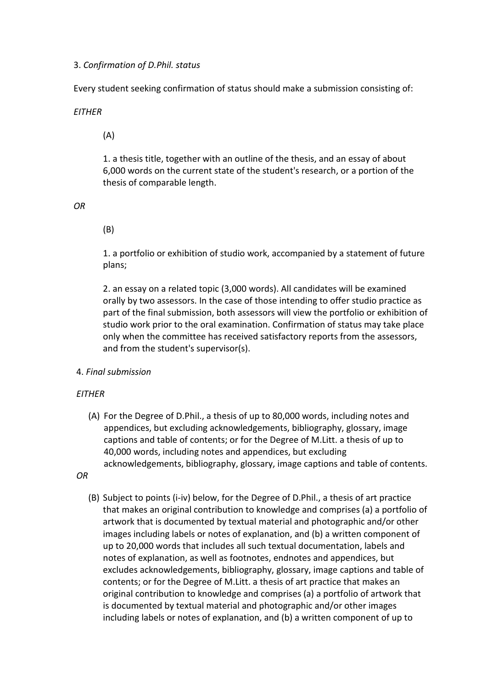#### 3. *Confirmation of D.Phil. status*

Every student seeking confirmation of status should make a submission consisting of:

*EITHER*

(A)

1. a thesis title, together with an outline of the thesis, and an essay of about 6,000 words on the current state of the student's research, or a portion of the thesis of comparable length.

*OR*

(B)

1. a portfolio or exhibition of studio work, accompanied by a statement of future plans;

2. an essay on a related topic (3,000 words). All candidates will be examined orally by two assessors. In the case of those intending to offer studio practice as part of the final submission, both assessors will view the portfolio or exhibition of studio work prior to the oral examination. Confirmation of status may take place only when the committee has received satisfactory reports from the assessors, and from the student's supervisor(s).

## 4. *Final submission*

#### *EITHER*

(A) For the Degree of D.Phil., a thesis of up to 80,000 words, including notes and appendices, but excluding acknowledgements, bibliography, glossary, image captions and table of contents; or for the Degree of M.Litt. a thesis of up to 40,000 words, including notes and appendices, but excluding acknowledgements, bibliography, glossary, image captions and table of contents.

*OR*

(B) Subject to points (i-iv) below, for the Degree of D.Phil., a thesis of art practice that makes an original contribution to knowledge and comprises (a) a portfolio of artwork that is documented by textual material and photographic and/or other images including labels or notes of explanation, and (b) a written component of up to 20,000 words that includes all such textual documentation, labels and notes of explanation, as well as footnotes, endnotes and appendices, but excludes acknowledgements, bibliography, glossary, image captions and table of contents; or for the Degree of M.Litt. a thesis of art practice that makes an original contribution to knowledge and comprises (a) a portfolio of artwork that is documented by textual material and photographic and/or other images including labels or notes of explanation, and (b) a written component of up to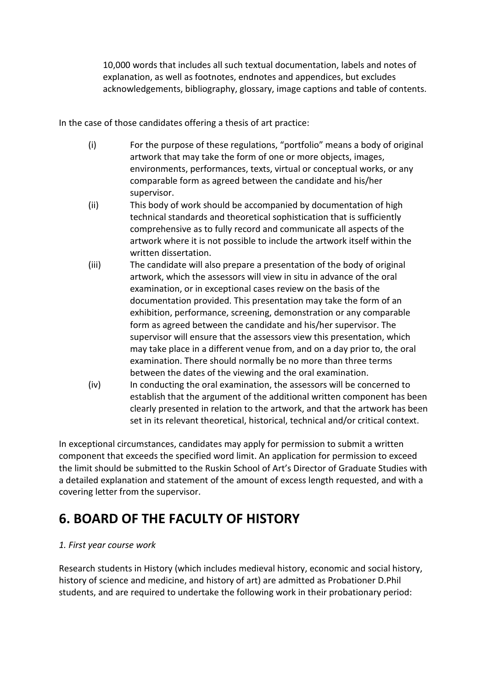10,000 words that includes all such textual documentation, labels and notes of explanation, as well as footnotes, endnotes and appendices, but excludes acknowledgements, bibliography, glossary, image captions and table of contents.

In the case of those candidates offering a thesis of art practice:

- (i) For the purpose of these regulations, "portfolio" means a body of original artwork that may take the form of one or more objects, images, environments, performances, texts, virtual or conceptual works, or any comparable form as agreed between the candidate and his/her supervisor.
- (ii) This body of work should be accompanied by documentation of high technical standards and theoretical sophistication that is sufficiently comprehensive as to fully record and communicate all aspects of the artwork where it is not possible to include the artwork itself within the written dissertation.
- (iii) The candidate will also prepare a presentation of the body of original artwork, which the assessors will view in situ in advance of the oral examination, or in exceptional cases review on the basis of the documentation provided. This presentation may take the form of an exhibition, performance, screening, demonstration or any comparable form as agreed between the candidate and his/her supervisor. The supervisor will ensure that the assessors view this presentation, which may take place in a different venue from, and on a day prior to, the oral examination. There should normally be no more than three terms between the dates of the viewing and the oral examination.
- (iv) In conducting the oral examination, the assessors will be concerned to establish that the argument of the additional written component has been clearly presented in relation to the artwork, and that the artwork has been set in its relevant theoretical, historical, technical and/or critical context.

In exceptional circumstances, candidates may apply for permission to submit a written component that exceeds the specified word limit. An application for permission to exceed the limit should be submitted to the Ruskin School of Art's Director of Graduate Studies with a detailed explanation and statement of the amount of excess length requested, and with a covering letter from the supervisor.

# **6. BOARD OF THE FACULTY OF HISTORY**

# *1. First year course work*

Research students in History (which includes medieval history, economic and social history, history of science and medicine, and history of art) are admitted as Probationer D.Phil students, and are required to undertake the following work in their probationary period: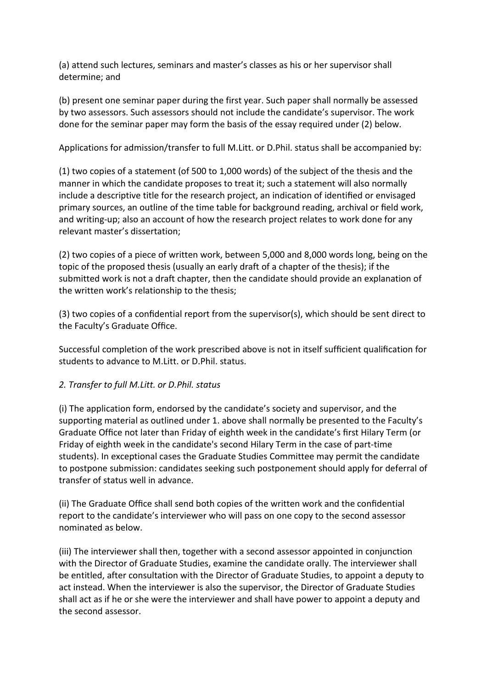(a) attend such lectures, seminars and master's classes as his or her supervisor shall determine; and

(b) present one seminar paper during the first year. Such paper shall normally be assessed by two assessors. Such assessors should not include the candidate's supervisor. The work done for the seminar paper may form the basis of the essay required under (2) below.

Applications for admission/transfer to full M.Litt. or D.Phil. status shall be accompanied by:

(1) two copies of a statement (of 500 to 1,000 words) of the subject of the thesis and the manner in which the candidate proposes to treat it; such a statement will also normally include a descriptive title for the research project, an indication of identified or envisaged primary sources, an outline of the time table for background reading, archival or field work, and writing-up; also an account of how the research project relates to work done for any relevant master's dissertation;

(2) two copies of a piece of written work, between 5,000 and 8,000 words long, being on the topic of the proposed thesis (usually an early draft of a chapter of the thesis); if the submitted work is not a draft chapter, then the candidate should provide an explanation of the written work's relationship to the thesis;

(3) two copies of a confidential report from the supervisor(s), which should be sent direct to the Faculty's Graduate Office.

Successful completion of the work prescribed above is not in itself sufficient qualification for students to advance to M.Litt. or D.Phil. status.

## *2. Transfer to full M.Litt. or D.Phil. status*

(i) The application form, endorsed by the candidate's society and supervisor, and the supporting material as outlined under 1. above shall normally be presented to the Faculty's Graduate Office not later than Friday of eighth week in the candidate's first Hilary Term (or Friday of eighth week in the candidate's second Hilary Term in the case of part-time students). In exceptional cases the Graduate Studies Committee may permit the candidate to postpone submission: candidates seeking such postponement should apply for deferral of transfer of status well in advance.

(ii) The Graduate Office shall send both copies of the written work and the confidential report to the candidate's interviewer who will pass on one copy to the second assessor nominated as below.

(iii) The interviewer shall then, together with a second assessor appointed in conjunction with the Director of Graduate Studies, examine the candidate orally. The interviewer shall be entitled, after consultation with the Director of Graduate Studies, to appoint a deputy to act instead. When the interviewer is also the supervisor, the Director of Graduate Studies shall act as if he or she were the interviewer and shall have power to appoint a deputy and the second assessor.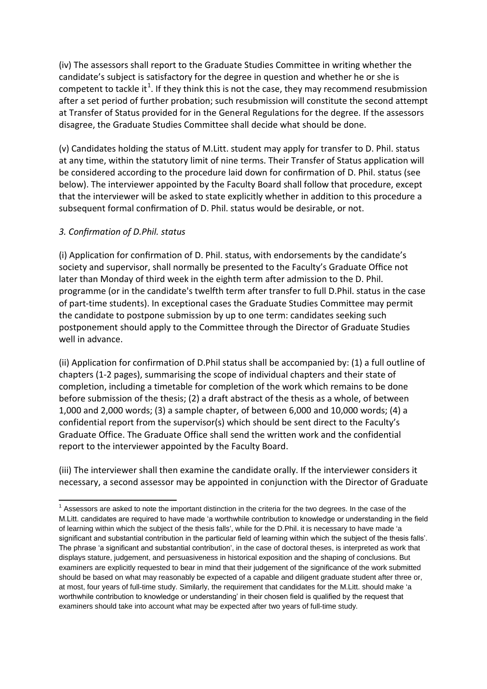(iv) The assessors shall report to the Graduate Studies Committee in writing whether the candidate's subject is satisfactory for the degree in question and whether he or she is competent to tackle it<sup>[1](#page-14-0)</sup>. If they think this is not the case, they may recommend resubmission after a set period of further probation; such resubmission will constitute the second attempt at Transfer of Status provided for in the General Regulations for the degree. If the assessors disagree, the Graduate Studies Committee shall decide what should be done.

(v) Candidates holding the status of M.Litt. student may apply for transfer to D. Phil. status at any time, within the statutory limit of nine terms. Their Transfer of Status application will be considered according to the procedure laid down for confirmation of D. Phil. status (see below). The interviewer appointed by the Faculty Board shall follow that procedure, except that the interviewer will be asked to state explicitly whether in addition to this procedure a subsequent formal confirmation of D. Phil. status would be desirable, or not.

## *3. Confirmation of D.Phil. status*

(i) Application for confirmation of D. Phil. status, with endorsements by the candidate's society and supervisor, shall normally be presented to the Faculty's Graduate Office not later than Monday of third week in the eighth term after admission to the D. Phil. programme (or in the candidate's twelfth term after transfer to full D.Phil. status in the case of part-time students). In exceptional cases the Graduate Studies Committee may permit the candidate to postpone submission by up to one term: candidates seeking such postponement should apply to the Committee through the Director of Graduate Studies well in advance.

(ii) Application for confirmation of D.Phil status shall be accompanied by: (1) a full outline of chapters (1-2 pages), summarising the scope of individual chapters and their state of completion, including a timetable for completion of the work which remains to be done before submission of the thesis; (2) a draft abstract of the thesis as a whole, of between 1,000 and 2,000 words; (3) a sample chapter, of between 6,000 and 10,000 words; (4) a confidential report from the supervisor(s) which should be sent direct to the Faculty's Graduate Office. The Graduate Office shall send the written work and the confidential report to the interviewer appointed by the Faculty Board.

(iii) The interviewer shall then examine the candidate orally. If the interviewer considers it necessary, a second assessor may be appointed in conjunction with the Director of Graduate

<span id="page-14-0"></span> $1$  Assessors are asked to note the important distinction in the criteria for the two degrees. In the case of the M.Litt. candidates are required to have made 'a worthwhile contribution to knowledge or understanding in the field of learning within which the subject of the thesis falls', while for the D.Phil. it is necessary to have made 'a significant and substantial contribution in the particular field of learning within which the subject of the thesis falls'. The phrase 'a significant and substantial contribution', in the case of doctoral theses, is interpreted as work that displays stature, judgement, and persuasiveness in historical exposition and the shaping of conclusions. But examiners are explicitly requested to bear in mind that their judgement of the significance of the work submitted should be based on what may reasonably be expected of a capable and diligent graduate student after three or, at most, four years of full-time study. Similarly, the requirement that candidates for the M.Litt. should make 'a worthwhile contribution to knowledge or understanding' in their chosen field is qualified by the request that examiners should take into account what may be expected after two years of full-time study.  $\overline{a}$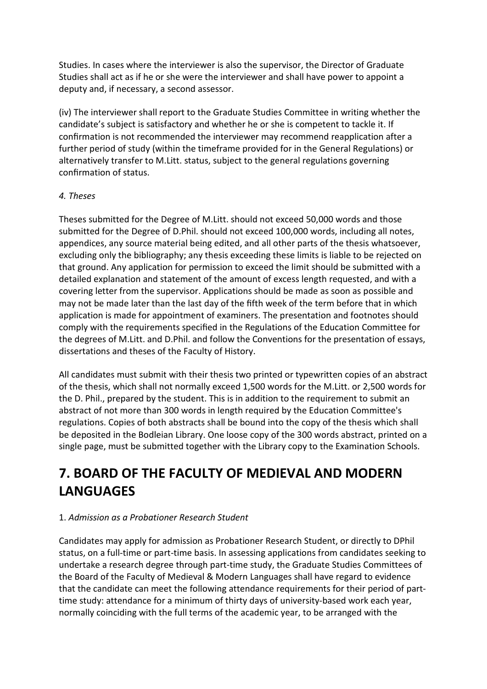Studies. In cases where the interviewer is also the supervisor, the Director of Graduate Studies shall act as if he or she were the interviewer and shall have power to appoint a deputy and, if necessary, a second assessor.

(iv) The interviewer shall report to the Graduate Studies Committee in writing whether the candidate's subject is satisfactory and whether he or she is competent to tackle it. If confirmation is not recommended the interviewer may recommend reapplication after a further period of study (within the timeframe provided for in the General Regulations) or alternatively transfer to M.Litt. status, subject to the general regulations governing confirmation of status.

## *4. Theses*

Theses submitted for the Degree of M.Litt. should not exceed 50,000 words and those submitted for the Degree of D.Phil. should not exceed 100,000 words, including all notes, appendices, any source material being edited, and all other parts of the thesis whatsoever, excluding only the bibliography; any thesis exceeding these limits is liable to be rejected on that ground. Any application for permission to exceed the limit should be submitted with a detailed explanation and statement of the amount of excess length requested, and with a covering letter from the supervisor. Applications should be made as soon as possible and may not be made later than the last day of the fifth week of the term before that in which application is made for appointment of examiners. The presentation and footnotes should comply with the requirements specified in the Regulations of the Education Committee for the degrees of M.Litt. and D.Phil. and follow the Conventions for the presentation of essays, dissertations and theses of the Faculty of History.

All candidates must submit with their thesis two printed or typewritten copies of an abstract of the thesis, which shall not normally exceed 1,500 words for the M.Litt. or 2,500 words for the D. Phil., prepared by the student. This is in addition to the requirement to submit an abstract of not more than 300 words in length required by the Education Committee's regulations. Copies of both abstracts shall be bound into the copy of the thesis which shall be deposited in the Bodleian Library. One loose copy of the 300 words abstract, printed on a single page, must be submitted together with the Library copy to the Examination Schools.

# **7. BOARD OF THE FACULTY OF MEDIEVAL AND MODERN LANGUAGES**

# 1. *Admission as a Probationer Research Student*

Candidates may apply for admission as Probationer Research Student, or directly to DPhil status, on a full-time or part-time basis. In assessing applications from candidates seeking to undertake a research degree through part-time study, the Graduate Studies Committees of the Board of the Faculty of Medieval & Modern Languages shall have regard to evidence that the candidate can meet the following attendance requirements for their period of parttime study: attendance for a minimum of thirty days of university-based work each year, normally coinciding with the full terms of the academic year, to be arranged with the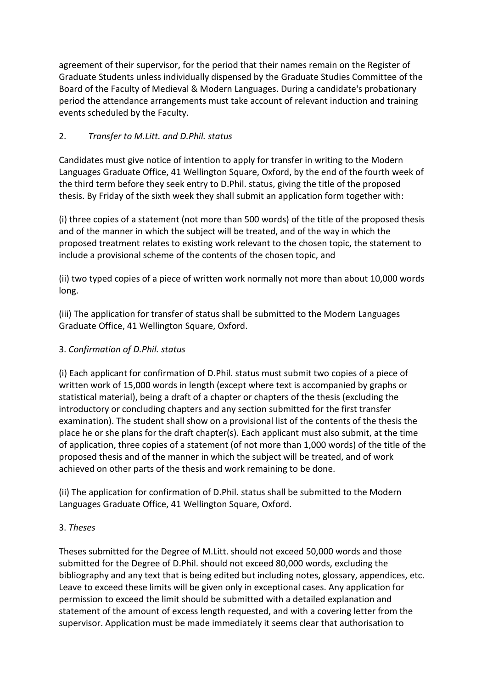agreement of their supervisor, for the period that their names remain on the Register of Graduate Students unless individually dispensed by the Graduate Studies Committee of the Board of the Faculty of Medieval & Modern Languages. During a candidate's probationary period the attendance arrangements must take account of relevant induction and training events scheduled by the Faculty.

# 2. *Transfer to M.Litt. and D.Phil. status*

Candidates must give notice of intention to apply for transfer in writing to the Modern Languages Graduate Office, 41 Wellington Square, Oxford, by the end of the fourth week of the third term before they seek entry to D.Phil. status, giving the title of the proposed thesis. By Friday of the sixth week they shall submit an application form together with:

(i) three copies of a statement (not more than 500 words) of the title of the proposed thesis and of the manner in which the subject will be treated, and of the way in which the proposed treatment relates to existing work relevant to the chosen topic, the statement to include a provisional scheme of the contents of the chosen topic, and

(ii) two typed copies of a piece of written work normally not more than about 10,000 words long.

(iii) The application for transfer of status shall be submitted to the Modern Languages Graduate Office, 41 Wellington Square, Oxford.

# 3. *Confirmation of D.Phil. status*

(i) Each applicant for confirmation of D.Phil. status must submit two copies of a piece of written work of 15,000 words in length (except where text is accompanied by graphs or statistical material), being a draft of a chapter or chapters of the thesis (excluding the introductory or concluding chapters and any section submitted for the first transfer examination). The student shall show on a provisional list of the contents of the thesis the place he or she plans for the draft chapter(s). Each applicant must also submit, at the time of application, three copies of a statement (of not more than 1,000 words) of the title of the proposed thesis and of the manner in which the subject will be treated, and of work achieved on other parts of the thesis and work remaining to be done.

(ii) The application for confirmation of D.Phil. status shall be submitted to the Modern Languages Graduate Office, 41 Wellington Square, Oxford.

## 3. *Theses*

Theses submitted for the Degree of M.Litt. should not exceed 50,000 words and those submitted for the Degree of D.Phil. should not exceed 80,000 words, excluding the bibliography and any text that is being edited but including notes, glossary, appendices, etc. Leave to exceed these limits will be given only in exceptional cases. Any application for permission to exceed the limit should be submitted with a detailed explanation and statement of the amount of excess length requested, and with a covering letter from the supervisor. Application must be made immediately it seems clear that authorisation to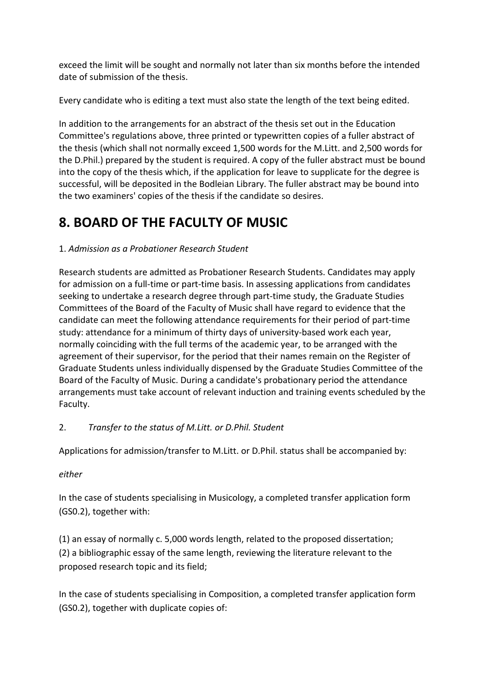exceed the limit will be sought and normally not later than six months before the intended date of submission of the thesis.

Every candidate who is editing a text must also state the length of the text being edited.

In addition to the arrangements for an abstract of the thesis set out in the Education Committee's regulations above, three printed or typewritten copies of a fuller abstract of the thesis (which shall not normally exceed 1,500 words for the M.Litt. and 2,500 words for the D.Phil.) prepared by the student is required. A copy of the fuller abstract must be bound into the copy of the thesis which, if the application for leave to supplicate for the degree is successful, will be deposited in the Bodleian Library. The fuller abstract may be bound into the two examiners' copies of the thesis if the candidate so desires.

# **8. BOARD OF THE FACULTY OF MUSIC**

# 1. *Admission as a Probationer Research Student*

Research students are admitted as Probationer Research Students. Candidates may apply for admission on a full-time or part-time basis. In assessing applications from candidates seeking to undertake a research degree through part-time study, the Graduate Studies Committees of the Board of the Faculty of Music shall have regard to evidence that the candidate can meet the following attendance requirements for their period of part-time study: attendance for a minimum of thirty days of university-based work each year, normally coinciding with the full terms of the academic year, to be arranged with the agreement of their supervisor, for the period that their names remain on the Register of Graduate Students unless individually dispensed by the Graduate Studies Committee of the Board of the Faculty of Music. During a candidate's probationary period the attendance arrangements must take account of relevant induction and training events scheduled by the Faculty.

# 2. *Transfer to the status of M.Litt. or D.Phil. Student*

Applications for admission/transfer to M.Litt. or D.Phil. status shall be accompanied by:

*either*

In the case of students specialising in Musicology, a completed transfer application form (GS0.2), together with:

(1) an essay of normally c. 5,000 words length, related to the proposed dissertation; (2) a bibliographic essay of the same length, reviewing the literature relevant to the proposed research topic and its field;

In the case of students specialising in Composition, a completed transfer application form (GS0.2), together with duplicate copies of: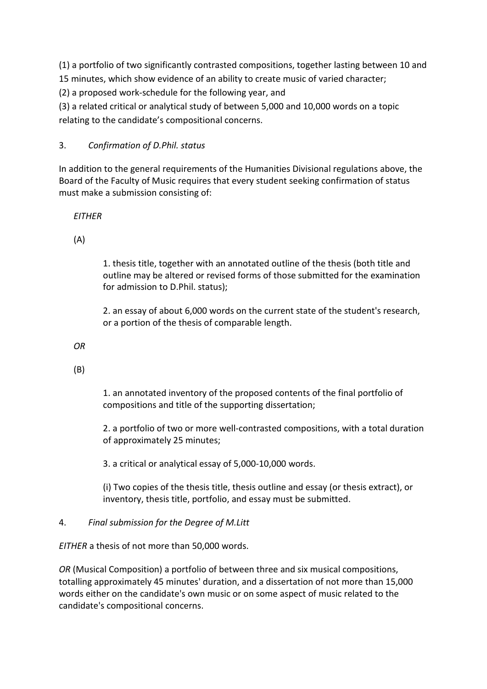(1) a portfolio of two significantly contrasted compositions, together lasting between 10 and 15 minutes, which show evidence of an ability to create music of varied character;

(2) a proposed work-schedule for the following year, and

(3) a related critical or analytical study of between 5,000 and 10,000 words on a topic relating to the candidate's compositional concerns.

# 3. *Confirmation of D.Phil. status*

In addition to the general requirements of the Humanities Divisional regulations above, the Board of the Faculty of Music requires that every student seeking confirmation of status must make a submission consisting of:

*EITHER*

(A)

1. thesis title, together with an annotated outline of the thesis (both title and outline may be altered or revised forms of those submitted for the examination for admission to D.Phil. status);

2. an essay of about 6,000 words on the current state of the student's research, or a portion of the thesis of comparable length.

*OR*

(B)

1. an annotated inventory of the proposed contents of the final portfolio of compositions and title of the supporting dissertation;

2. a portfolio of two or more well-contrasted compositions, with a total duration of approximately 25 minutes;

3. a critical or analytical essay of 5,000-10,000 words.

(i) Two copies of the thesis title, thesis outline and essay (or thesis extract), or inventory, thesis title, portfolio, and essay must be submitted.

# 4. *Final submission for the Degree of M.Litt*

*EITHER* a thesis of not more than 50,000 words.

*OR* (Musical Composition) a portfolio of between three and six musical compositions, totalling approximately 45 minutes' duration, and a dissertation of not more than 15,000 words either on the candidate's own music or on some aspect of music related to the candidate's compositional concerns.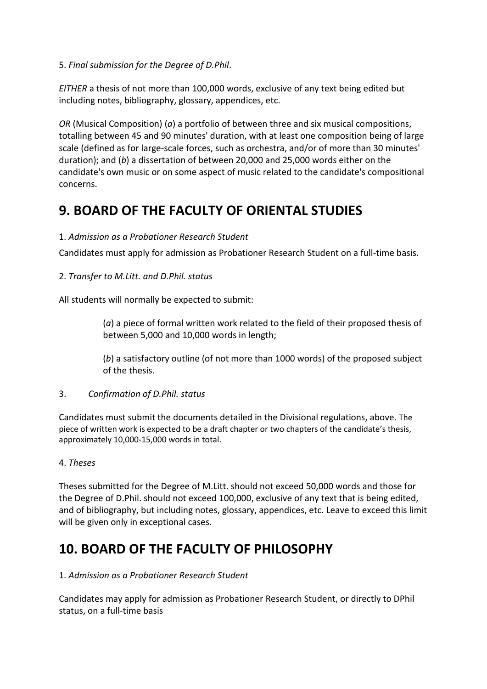5. *Final submission for the Degree of D.Phil*.

*EITHER* a thesis of not more than 100,000 words, exclusive of any text being edited but including notes, bibliography, glossary, appendices, etc.

*OR* (Musical Composition) (*a*) a portfolio of between three and six musical compositions, totalling between 45 and 90 minutes' duration, with at least one composition being of large scale (defined as for large-scale forces, such as orchestra, and/or of more than 30 minutes' duration); and (*b*) a dissertation of between 20,000 and 25,000 words either on the candidate's own music or on some aspect of music related to the candidate's compositional concerns.

# **9. BOARD OF THE FACULTY OF ORIENTAL STUDIES**

1. *Admission as a Probationer Research Student*

Candidates must apply for admission as Probationer Research Student on a full-time basis.

2. *Transfer to M.Litt. and D.Phil. status*

All students will normally be expected to submit:

(*a*) a piece of formal written work related to the field of their proposed thesis of between 5,000 and 10,000 words in length;

(*b*) a satisfactory outline (of not more than 1000 words) of the proposed subject of the thesis.

3. *Confirmation of D.Phil. status*

Candidates must submit the documents detailed in the Divisional regulations, above. The piece of written work is expected to be a draft chapter or two chapters of the candidate's thesis, approximately 10,000-15,000 words in total.

## 4. *Theses*

Theses submitted for the Degree of M.Litt. should not exceed 50,000 words and those for the Degree of D.Phil. should not exceed 100,000, exclusive of any text that is being edited, and of bibliography, but including notes, glossary, appendices, etc. Leave to exceed this limit will be given only in exceptional cases.

# **10. BOARD OF THE FACULTY OF PHILOSOPHY**

## 1. *Admission as a Probationer Research Student*

Candidates may apply for admission as Probationer Research Student, or directly to DPhil status, on a full-time basis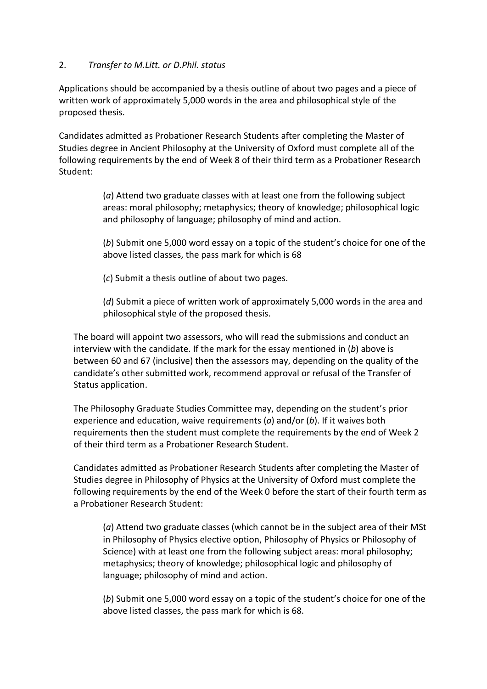## 2. *Transfer to M.Litt. or D.Phil. status*

Applications should be accompanied by a thesis outline of about two pages and a piece of written work of approximately 5,000 words in the area and philosophical style of the proposed thesis.

Candidates admitted as Probationer Research Students after completing the Master of Studies degree in Ancient Philosophy at the University of Oxford must complete all of the following requirements by the end of Week 8 of their third term as a Probationer Research Student:

> (*a*) Attend two graduate classes with at least one from the following subject areas: moral philosophy; metaphysics; theory of knowledge; philosophical logic and philosophy of language; philosophy of mind and action.

(*b*) Submit one 5,000 word essay on a topic of the student's choice for one of the above listed classes, the pass mark for which is 68

(*c*) Submit a thesis outline of about two pages.

(*d*) Submit a piece of written work of approximately 5,000 words in the area and philosophical style of the proposed thesis.

The board will appoint two assessors, who will read the submissions and conduct an interview with the candidate. If the mark for the essay mentioned in (*b*) above is between 60 and 67 (inclusive) then the assessors may, depending on the quality of the candidate's other submitted work, recommend approval or refusal of the Transfer of Status application.

The Philosophy Graduate Studies Committee may, depending on the student's prior experience and education, waive requirements (*a*) and/or (*b*). If it waives both requirements then the student must complete the requirements by the end of Week 2 of their third term as a Probationer Research Student.

Candidates admitted as Probationer Research Students after completing the Master of Studies degree in Philosophy of Physics at the University of Oxford must complete the following requirements by the end of the Week 0 before the start of their fourth term as a Probationer Research Student:

(*a*) Attend two graduate classes (which cannot be in the subject area of their MSt in Philosophy of Physics elective option, Philosophy of Physics or Philosophy of Science) with at least one from the following subject areas: moral philosophy; metaphysics; theory of knowledge; philosophical logic and philosophy of language; philosophy of mind and action.

(*b*) Submit one 5,000 word essay on a topic of the student's choice for one of the above listed classes, the pass mark for which is 68.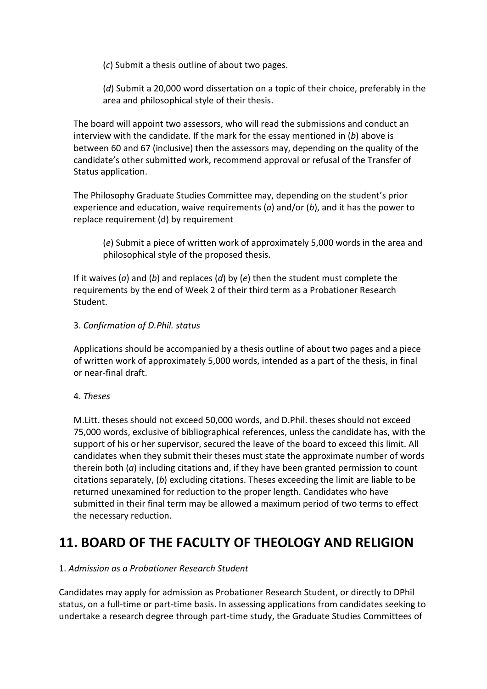(*c*) Submit a thesis outline of about two pages.

(*d*) Submit a 20,000 word dissertation on a topic of their choice, preferably in the area and philosophical style of their thesis.

The board will appoint two assessors, who will read the submissions and conduct an interview with the candidate. If the mark for the essay mentioned in (*b*) above is between 60 and 67 (inclusive) then the assessors may, depending on the quality of the candidate's other submitted work, recommend approval or refusal of the Transfer of Status application.

The Philosophy Graduate Studies Committee may, depending on the student's prior experience and education, waive requirements (*a*) and/or (*b*), and it has the power to replace requirement (d) by requirement

(*e*) Submit a piece of written work of approximately 5,000 words in the area and philosophical style of the proposed thesis.

If it waives (*a*) and (*b*) and replaces (*d*) by (*e*) then the student must complete the requirements by the end of Week 2 of their third term as a Probationer Research Student.

## 3. *Confirmation of D.Phil. status*

Applications should be accompanied by a thesis outline of about two pages and a piece of written work of approximately 5,000 words, intended as a part of the thesis, in final or near-final draft.

## 4. *Theses*

M.Litt. theses should not exceed 50,000 words, and D.Phil. theses should not exceed 75,000 words, exclusive of bibliographical references, unless the candidate has, with the support of his or her supervisor, secured the leave of the board to exceed this limit. All candidates when they submit their theses must state the approximate number of words therein both (*a*) including citations and, if they have been granted permission to count citations separately, (*b*) excluding citations. Theses exceeding the limit are liable to be returned unexamined for reduction to the proper length. Candidates who have submitted in their final term may be allowed a maximum period of two terms to effect the necessary reduction.

# **11. BOARD OF THE FACULTY OF THEOLOGY AND RELIGION**

## 1. *Admission as a Probationer Research Student*

Candidates may apply for admission as Probationer Research Student, or directly to DPhil status, on a full-time or part-time basis. In assessing applications from candidates seeking to undertake a research degree through part-time study, the Graduate Studies Committees of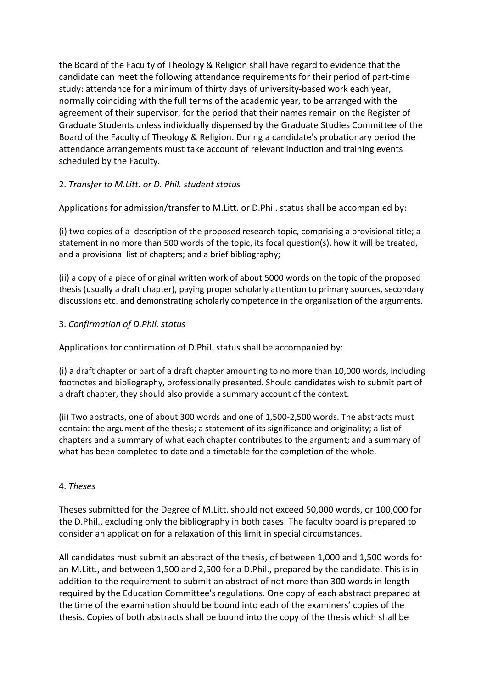the Board of the Faculty of Theology & Religion shall have regard to evidence that the candidate can meet the following attendance requirements for their period of part-time study: attendance for a minimum of thirty days of university-based work each year, normally coinciding with the full terms of the academic year, to be arranged with the agreement of their supervisor, for the period that their names remain on the Register of Graduate Students unless individually dispensed by the Graduate Studies Committee of the Board of the Faculty of Theology & Religion. During a candidate's probationary period the attendance arrangements must take account of relevant induction and training events scheduled by the Faculty.

## 2. *Transfer to M.Litt. or D. Phil. student status*

Applications for admission/transfer to M.Litt. or D.Phil. status shall be accompanied by:

(i) two copies of a description of the proposed research topic, comprising a provisional title; a statement in no more than 500 words of the topic, its focal question(s), how it will be treated, and a provisional list of chapters; and a brief bibliography;

(ii) a copy of a piece of original written work of about 5000 words on the topic of the proposed thesis (usually a draft chapter), paying proper scholarly attention to primary sources, secondary discussions etc. and demonstrating scholarly competence in the organisation of the arguments.

## 3. *Confirmation of D.Phil. status*

Applications for confirmation of D.Phil. status shall be accompanied by:

(i) a draft chapter or part of a draft chapter amounting to no more than 10,000 words, including footnotes and bibliography, professionally presented. Should candidates wish to submit part of a draft chapter, they should also provide a summary account of the context.

(ii) Two abstracts, one of about 300 words and one of 1,500-2,500 words. The abstracts must contain: the argument of the thesis; a statement of its significance and originality; a list of chapters and a summary of what each chapter contributes to the argument; and a summary of what has been completed to date and a timetable for the completion of the whole.

#### 4. *Theses*

Theses submitted for the Degree of M.Litt. should not exceed 50,000 words, or 100,000 for the D.Phil., excluding only the bibliography in both cases. The faculty board is prepared to consider an application for a relaxation of this limit in special circumstances.

All candidates must submit an abstract of the thesis, of between 1,000 and 1,500 words for an M.Litt., and between 1,500 and 2,500 for a D.Phil., prepared by the candidate. This is in addition to the requirement to submit an abstract of not more than 300 words in length required by the Education Committee's regulations. One copy of each abstract prepared at the time of the examination should be bound into each of the examiners' copies of the thesis. Copies of both abstracts shall be bound into the copy of the thesis which shall be